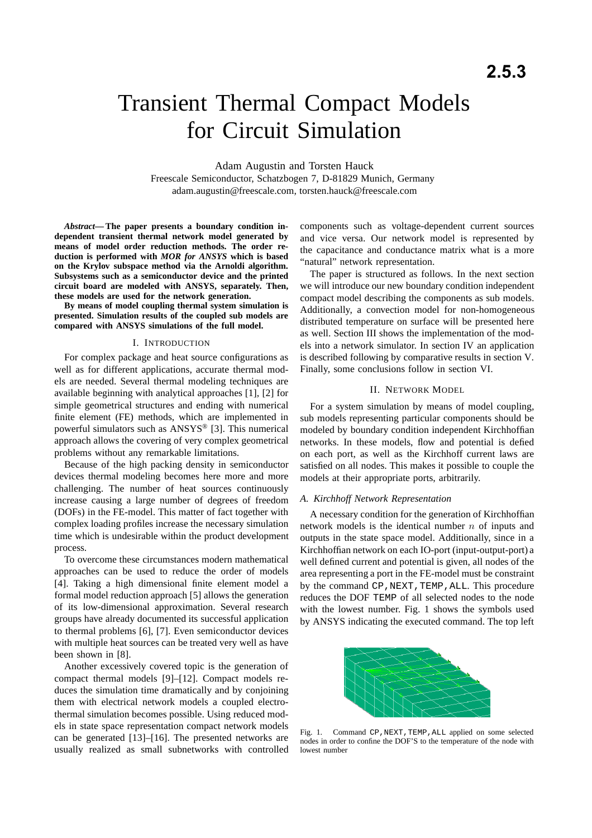# Transient Thermal Compact Models for Circuit Simulation

Adam Augustin and Torsten Hauck

Freescale Semiconductor, Schatzbogen 7, D-81829 Munich, Germany adam.augustin@freescale.com, torsten.hauck@freescale.com

*Abstract***— The paper presents a boundary condition independent transient thermal network model generated by means of model order reduction methods. The order reduction is performed with** *MOR for ANSYS* **which is based on the Krylov subspace method via the Arnoldi algorithm. Subsystems such as a semiconductor device and the printed circuit board are modeled with ANSYS, separately. Then, these models are used for the network generation.**

**By means of model coupling thermal system simulation is presented. Simulation results of the coupled sub models are compared with ANSYS simulations of the full model.**

## I. INTRODUCTION

For complex package and heat source configurations as well as for different applications, accurate thermal models are needed. Several thermal modeling techniques are available beginning with analytical approaches [1], [2] for simple geometrical structures and ending with numerical finite element (FE) methods, which are implemented in powerful simulators such as ANSYS® [3]. This numerical approach allows the covering of very complex geometrical problems without any remarkable limitations.

Because of the high packing density in semiconductor devices thermal modeling becomes here more and more challenging. The number of heat sources continuously increase causing a large number of degrees of freedom (DOFs) in the FE-model. This matter of fact together with complex loading profiles increase the necessary simulation time which is undesirable within the product development process.

To overcome these circumstances modern mathematical approaches can be used to reduce the order of models [4]. Taking a high dimensional finite element model a formal model reduction approach [5] allows the generation of its low-dimensional approximation. Several research groups have already documented its successful application to thermal problems [6], [7]. Even semiconductor devices with multiple heat sources can be treated very well as have been shown in [8].

Another excessively covered topic is the generation of compact thermal models [9]–[12]. Compact models reduces the simulation time dramatically and by conjoining them with electrical network models a coupled electrothermal simulation becomes possible. Using reduced models in state space representation compact network models can be generated [13]–[16]. The presented networks are usually realized as small subnetworks with controlled components such as voltage-dependent current sources and vice versa. Our network model is represented by the capacitance and conductance matrix what is a more "natural" network representation.

The paper is structured as follows. In the next section we will introduce our new boundary condition independent compact model describing the components as sub models. Additionally, a convection model for non-homogeneous distributed temperature on surface will be presented here as well. Section III shows the implementation of the models into a network simulator. In section IV an application is described following by comparative results in section V. Finally, some conclusions follow in section VI.

## II. NETWORK MODEL

For a system simulation by means of model coupling, sub models representing particular components should be modeled by boundary condition independent Kirchhoffian networks. In these models, flow and potential is defied on each port, as well as the Kirchhoff current laws are satisfied on all nodes. This makes it possible to couple the models at their appropriate ports, arbitrarily.

## *A. Kirchhoff Network Representation*

A necessary condition for the generation of Kirchhoffian network models is the identical number  $n$  of inputs and outputs in the state space model. Additionally, since in a Kirchhoffian network on each IO-port (input-output-port) a well defined current and potential is given, all nodes of the area representing a port in the FE-model must be constraint by the command CP, NEXT, TEMP, ALL. This procedure reduces the DOF TEMP of all selected nodes to the node with the lowest number. Fig. 1 shows the symbols used by ANSYS indicating the executed command. The top left



Fig. 1. Command CP, NEXT, TEMP, ALL applied on some selected nodes in order to confine the DOF'S to the temperature of the node with lowest number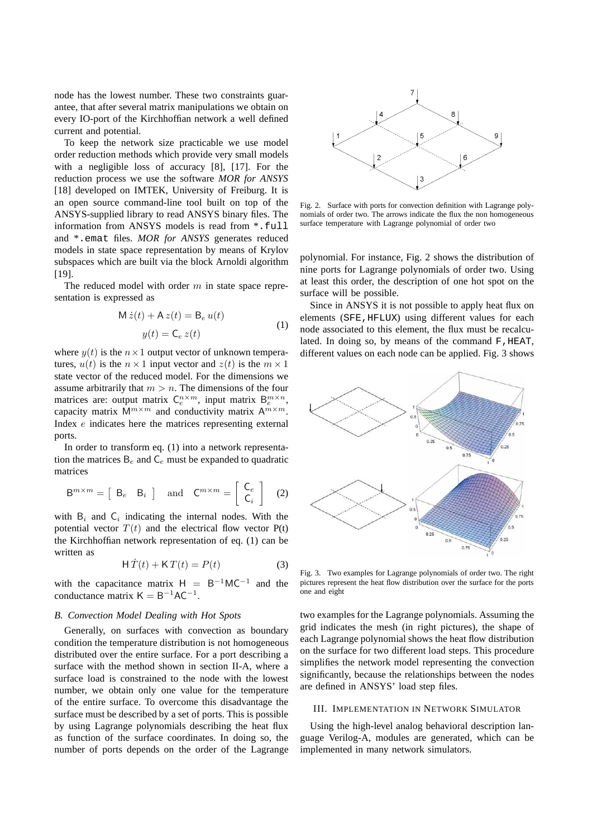node has the lowest number. These two constraints guarantee, that after several matrix manipulations we obtain on every IO-port of the Kirchhoffian network a well defined current and potential.

To keep the network size practicable we use model order reduction methods which provide very small models with a negligible loss of accuracy [8], [17]. For the reduction process we use the software *MOR for ANSYS* [18] developed on IMTEK, University of Freiburg. It is an open source command-line tool built on top of the ANSYS-supplied library to read ANSYS binary files. The information from ANSYS models is read from \*.full and \*.emat files. *MOR for ANSYS* generates reduced models in state space representation by means of Krylov subspaces which are built via the block Arnoldi algorithm [19].

The reduced model with order  $m$  in state space representation is expressed as

$$
\mathsf{M}\,\dot{z}(t) + \mathsf{A}\,z(t) = \mathsf{B}_e\,u(t)
$$
  

$$
y(t) = \mathsf{C}_e\,z(t)
$$
 (1)

where  $y(t)$  is the  $n \times 1$  output vector of unknown temperatures,  $u(t)$  is the  $n \times 1$  input vector and  $z(t)$  is the  $m \times 1$ state vector of the reduced model. For the dimensions we assume arbitrarily that  $m > n$ . The dimensions of the four matrices are: output matrix  $C_e^{n \times m}$ , input matrix  $B_e^{m \times n}$ , capacity matrix  $\mathsf{M}^{m \times m}$  and conductivity matrix  $\mathsf{A}^{\overline{m} \times \overline{m}}$ . Index e indicates here the matrices representing external ports.

In order to transform eq. (1) into a network representation the matrices  $B_e$  and  $C_e$  must be expanded to quadratic matrices

$$
\mathsf{B}^{m \times m} = \left[ \begin{array}{cc} \mathsf{B}_{e} & \mathsf{B}_{i} \end{array} \right] \quad \text{and} \quad \mathsf{C}^{m \times m} = \left[ \begin{array}{c} \mathsf{C}_{e} \\ \mathsf{C}_{i} \end{array} \right] \tag{2}
$$

with  $B_i$  and  $C_i$  indicating the internal nodes. With the potential vector  $T(t)$  and the electrical flow vector  $P(t)$ the Kirchhoffian network representation of eq. (1) can be written as

$$
\mathsf{H}\,\dot{T}(t) + \mathsf{K}\,T(t) = P(t) \tag{3}
$$

with the capacitance matrix  $H = B^{-1}MC^{-1}$ and the conductance matrix  $K = B^{-1}AC^{-1}$ .

# *B. Convection Model Dealing with Hot Spots*

Generally, on surfaces with convection as boundary condition the temperature distribution is not homogeneous distributed over the entire surface. For a port describing a surface with the method shown in section II-A, where a surface load is constrained to the node with the lowest number, we obtain only one value for the temperature of the entire surface. To overcome this disadvantage the surface must be described by a set of ports. This is possible by using Lagrange polynomials describing the heat flux as function of the surface coordinates. In doing so, the number of ports depends on the order of the Lagrange



Fig. 2. Surface with ports for convection definition with Lagrange polynomials of order two. The arrows indicate the flux the non homogeneous surface temperature with Lagrange polynomial of order two

polynomial. For instance, Fig. 2 shows the distribution of nine ports for Lagrange polynomials of order two. Using at least this order, the description of one hot spot on the surface will be possible.

Since in ANSYS it is not possible to apply heat flux on elements (SFE,HFLUX) using different values for each node associated to this element, the flux must be recalculated. In doing so, by means of the command F, HEAT, different values on each node can be applied. Fig. 3 shows



Fig. 3. Two examples for Lagrange polynomials of order two. The right pictures represent the heat flow distribution over the surface for the ports one and eight

two examples for the Lagrange polynomials. Assuming the grid indicates the mesh (in right pictures), the shape of each Lagrange polynomial shows the heat flow distribution on the surface for two different load steps. This procedure simplifies the network model representing the convection significantly, because the relationships between the nodes are defined in ANSYS' load step files.

#### III. IMPLEMENTATION IN NETWORK SIMULATOR

Using the high-level analog behavioral description language Verilog-A, modules are generated, which can be implemented in many network simulators.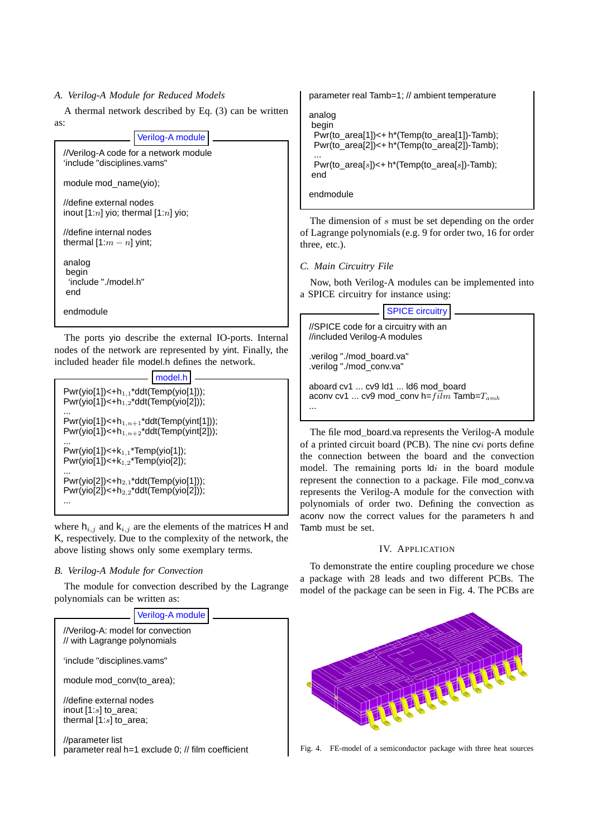## *A. Verilog-A Module for Reduced Models*

A thermal network described by Eq. (3) can be written as:

## Verilog-A module

//Verilog-A code for a network module 'include "disciplines.vams"

module mod\_name(yio);

//define external nodes inout  $[1:n]$  yio; thermal  $[1:n]$  yio;

//define internal nodes thermal  $[1:m - n]$  yint;

analog begin 'include "./model.h" end

endmodule

The ports yio describe the external IO-ports. Internal nodes of the network are represented by yint. Finally, the included header file model.h defines the network.

|                                                                                                    | model.h |  |  |  |
|----------------------------------------------------------------------------------------------------|---------|--|--|--|
| $Pwr(yio[1]) < +h_{1,1} * ddt(Temp(yio[1]))$ ;<br>$Pwr(yio[1]) < +h_{1,2} * ddt(Temp(yio[2]))$ ;   |         |  |  |  |
| $Pwr(yio[1]) < +h_{1,n+1}^*ddt(Temp(yint[1]))$ ;<br>Pwr(yio[1])<+ $h_{1,n+2}$ *ddt(Temp(yint[2])); |         |  |  |  |
| $Pwr(yio[1]) < +k_{1,1}$ *Temp(yio[1]);<br>$Pwr(vio[1]) < +k_{1,2}$ *Temp(yio[2]);                 |         |  |  |  |
| $Pwr(yio[2]) < +h_{2,1} * ddt(Temp(yio[1]))$ ;<br>$Pwr(yio[2]) < +h_{2,2} * ddt(Temp(yio[2]))$ ;   |         |  |  |  |
|                                                                                                    |         |  |  |  |

where  $h_{i,j}$  and  $k_{i,j}$  are the elements of the matrices H and K, respectively. Due to the complexity of the network, the above listing shows only some exemplary terms.

# *B. Verilog-A Module for Convection*

The module for convection described by the Lagrange polynomials can be written as:



parameter real Tamb=1; // ambient temperature

analog begin Pwr(to\_area[1])<+ h\*(Temp(to\_area[1])-Tamb); Pwr(to\_area[2])<+ h\*(Temp(to\_area[2])-Tamb);

... Pwr(to\_area[s])<+ h\*(Temp(to\_area[s])-Tamb); end

endmodule

The dimension of s must be set depending on the order of Lagrange polynomials (e.g. 9 for order two, 16 for order three, etc.).

# *C. Main Circuitry File*

Now, both Verilog-A modules can be implemented into a SPICE circuitry for instance using:

# SPICE circuitry

//SPICE code for a circuitry with an //included Verilog-A modules

.verilog "./mod\_board.va" .verilog "./mod\_conv.va"

aboard cv1 ... cv9 ld1 ... ld6 mod\_board aconv cv1 ... cv9 mod\_conv h= $film$  Tamb= $T_{amb}$ ...

The file mod board.va represents the Verilog-A module of a printed circuit board (PCB). The nine cvi ports define the connection between the board and the convection model. The remaining ports  $\mathsf{Id}i$  in the board module represent the connection to a package. File mod\_conv.va represents the Verilog-A module for the convection with polynomials of order two. Defining the convection as aconv now the correct values for the parameters h and Tamb must be set.

# IV. APPLICATION

To demonstrate the entire coupling procedure we chose a package with 28 leads and two different PCBs. The model of the package can be seen in Fig. 4. The PCBs are



Fig. 4. FE-model of a semiconductor package with three heat sources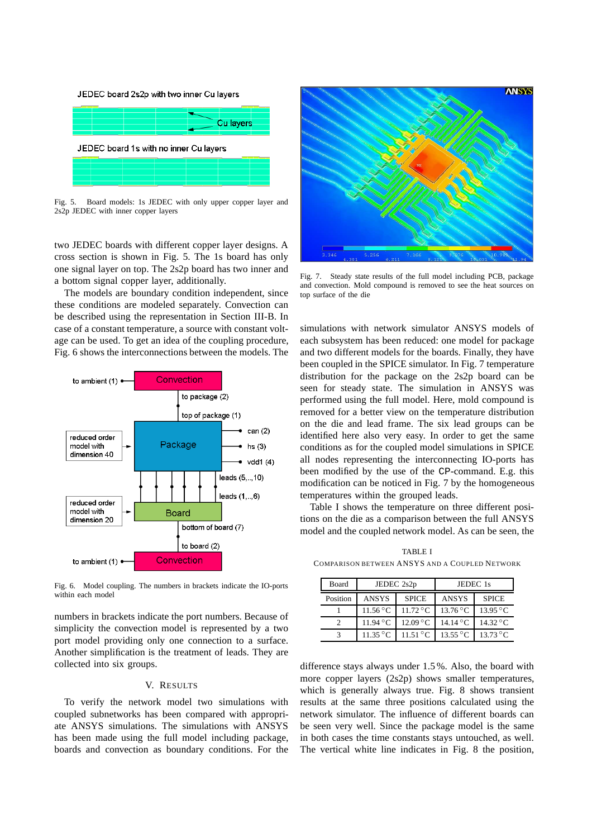

Fig. 5. Board models: 1s JEDEC with only upper copper layer and 2s2p JEDEC with inner copper layers

two JEDEC boards with different copper layer designs. A cross section is shown in Fig. 5. The 1s board has only one signal layer on top. The 2s2p board has two inner and a bottom signal copper layer, additionally.

The models are boundary condition independent, since these conditions are modeled separately. Convection can be described using the representation in Section III-B. In case of a constant temperature, a source with constant voltage can be used. To get an idea of the coupling procedure, Fig. 6 shows the interconnections between the models. The



Fig. 6. Model coupling. The numbers in brackets indicate the IO-ports within each model

numbers in brackets indicate the port numbers. Because of simplicity the convection model is represented by a two port model providing only one connection to a surface. Another simplification is the treatment of leads. They are collected into six groups.

#### V. RESULTS

To verify the network model two simulations with coupled subnetworks has been compared with appropriate ANSYS simulations. The simulations with ANSYS has been made using the full model including package, boards and convection as boundary conditions. For the



Fig. 7. Steady state results of the full model including PCB, package and convection. Mold compound is removed to see the heat sources on top surface of the die

simulations with network simulator ANSYS models of each subsystem has been reduced: one model for package and two different models for the boards. Finally, they have been coupled in the SPICE simulator. In Fig. 7 temperature distribution for the package on the 2s2p board can be seen for steady state. The simulation in ANSYS was performed using the full model. Here, mold compound is removed for a better view on the temperature distribution on the die and lead frame. The six lead groups can be identified here also very easy. In order to get the same conditions as for the coupled model simulations in SPICE all nodes representing the interconnecting IO-ports has been modified by the use of the CP-command. E.g. this modification can be noticed in Fig. 7 by the homogeneous temperatures within the grouped leads.

Table I shows the temperature on three different positions on the die as a comparison between the full ANSYS model and the coupled network model. As can be seen, the

TABLE I COMPARISON BETWEEN ANSYS AND A COUPLED NETWORK

| Board    | JEDEC 2s2p                  |                      | JEDEC 1s                    |                   |
|----------|-----------------------------|----------------------|-----------------------------|-------------------|
| Position | ANSYS                       | <b>SPICE</b>         | <b>ANSYS</b>                | <b>SPICE</b>      |
|          | $11.56\,^{\circ}\mathrm{C}$ | $11.72\textdegree C$ | $13.76\,^{\circ}\mathrm{C}$ | $13.95\text{ °C}$ |
|          | $11.94\text{ °C}$           | $12.09\text{ °C}$    | $14.14\text{ °C}$           | $14.32\text{°C}$  |
|          | $11.35\,^{\circ}$ C         | 11.51 °C             | $13.55\,^{\circ}\mathrm{C}$ | $13.73\text{ °C}$ |

difference stays always under 1.5 %. Also, the board with more copper layers (2s2p) shows smaller temperatures, which is generally always true. Fig. 8 shows transient results at the same three positions calculated using the network simulator. The influence of different boards can be seen very well. Since the package model is the same in both cases the time constants stays untouched, as well. The vertical white line indicates in Fig. 8 the position,